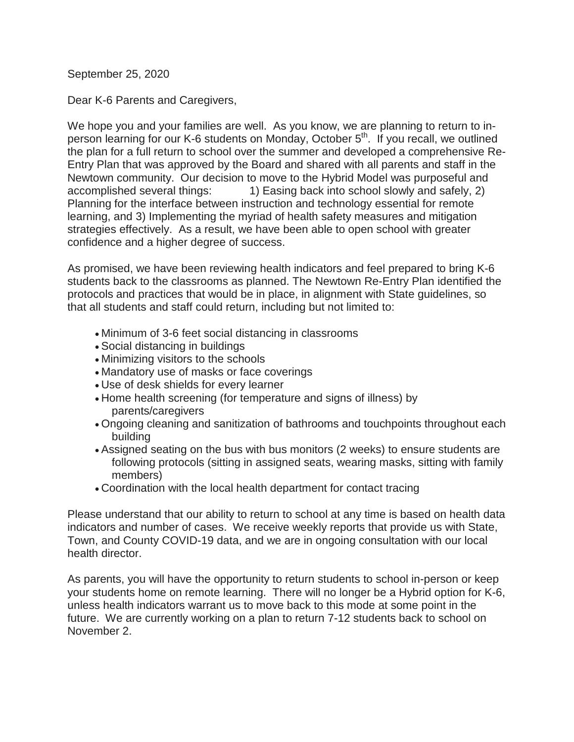September 25, 2020

Dear K-6 Parents and Caregivers,

We hope you and your families are well. As you know, we are planning to return to inperson learning for our K-6 students on Monday, October 5<sup>th</sup>. If you recall, we outlined the plan for a full return to school over the summer and developed a comprehensive Re-Entry Plan that was approved by the Board and shared with all parents and staff in the Newtown community. Our decision to move to the Hybrid Model was purposeful and accomplished several things: 1) Easing back into school slowly and safely, 2) Planning for the interface between instruction and technology essential for remote learning, and 3) Implementing the myriad of health safety measures and mitigation strategies effectively. As a result, we have been able to open school with greater confidence and a higher degree of success.

As promised, we have been reviewing health indicators and feel prepared to bring K-6 students back to the classrooms as planned. The Newtown Re-Entry Plan identified the protocols and practices that would be in place, in alignment with State guidelines, so that all students and staff could return, including but not limited to:

- Minimum of 3-6 feet social distancing in classrooms
- Social distancing in buildings
- Minimizing visitors to the schools
- Mandatory use of masks or face coverings
- Use of desk shields for every learner
- Home health screening (for temperature and signs of illness) by parents/caregivers
- Ongoing cleaning and sanitization of bathrooms and touchpoints throughout each building
- Assigned seating on the bus with bus monitors (2 weeks) to ensure students are following protocols (sitting in assigned seats, wearing masks, sitting with family members)
- Coordination with the local health department for contact tracing

Please understand that our ability to return to school at any time is based on health data indicators and number of cases. We receive weekly reports that provide us with State, Town, and County COVID-19 data, and we are in ongoing consultation with our local health director.

As parents, you will have the opportunity to return students to school in-person or keep your students home on remote learning. There will no longer be a Hybrid option for K-6, unless health indicators warrant us to move back to this mode at some point in the future. We are currently working on a plan to return 7-12 students back to school on November 2.